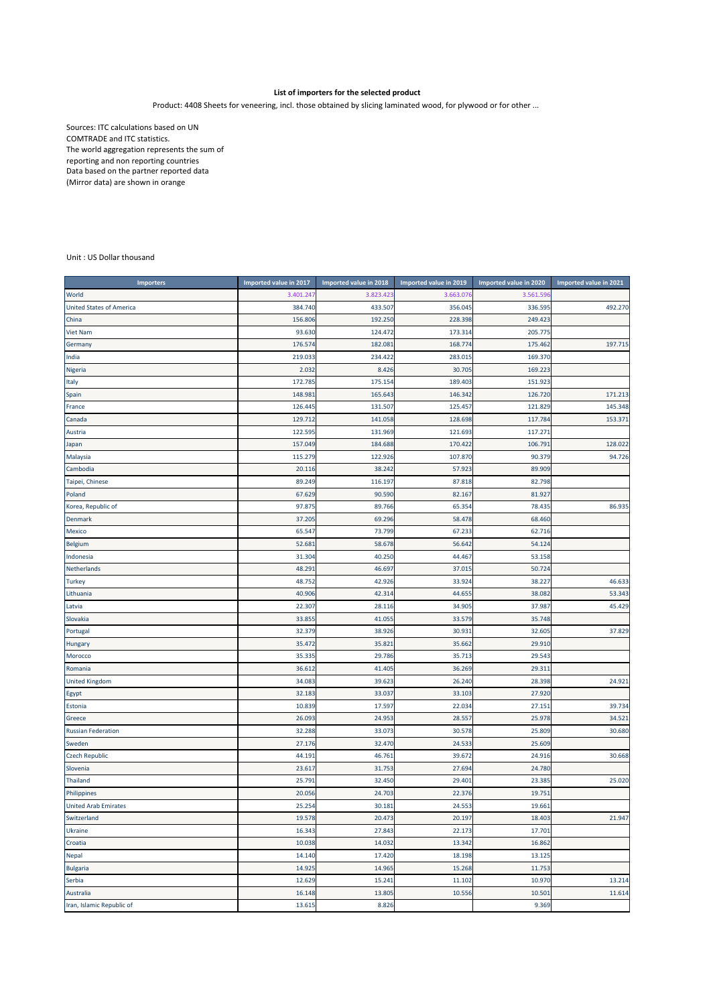## **List of importers for the selected product**

Product: 4408 Sheets for veneering, incl. those obtained by slicing laminated wood, for plywood or for other ...

Sources: ITC calculations based on UN COMTRADE and ITC statistics. The world aggregation represents the sum of reporting and non reporting countries Data based on the partner reported data (Mirror data) are shown in orange

## Unit : US Dollar thousand

| <b>Importers</b>                | Imported value in 2017 | Imported value in 2018 | Imported value in 2019 | Imported value in 2020 | Imported value in 2021 |
|---------------------------------|------------------------|------------------------|------------------------|------------------------|------------------------|
| World                           | 3.401.247              | 3.823.423              | 3.663.07               | 3.561.596              |                        |
| <b>United States of America</b> | 384.740                | 433.507                | 356.045                | 336.595                | 492.270                |
| China                           | 156.806                | 192.250                | 228.398                | 249.423                |                        |
| <b>Viet Nam</b>                 | 93.630                 | 124.47                 | 173.314                | 205.775                |                        |
| Germany                         | 176.574                | 182.08                 | 168.774                | 175.462                | 197.715                |
| India                           | 219.033                | 234.422                | 283.015                | 169.370                |                        |
| Nigeria                         | 2.032                  | 8.426                  | 30.705                 | 169.223                |                        |
| Italy                           | 172.785                | 175.154                | 189.403                | 151.923                |                        |
| Spain                           | 148.981                | 165.643                | 146.342                | 126.720                | 171.213                |
| France                          | 126.445                | 131.507                | 125.457                | 121.829                | 145.348                |
| Canada                          | 129.712                | 141.058                | 128.698                | 117.784                | 153.371                |
| Austria                         | 122.595                | 131.969                | 121.693                | 117.271                |                        |
| Japan                           | 157.049                | 184.688                | 170.422                | 106.791                | 128.022                |
| Malaysia                        | 115.279                | 122.926                | 107.870                | 90.379                 | 94.726                 |
| Cambodia                        | 20.116                 | 38.242                 | 57.923                 | 89.909                 |                        |
| Taipei, Chinese                 | 89.249                 | 116.197                | 87.818                 | 82.798                 |                        |
| Poland                          | 67.629                 | 90.590                 | 82.167                 | 81.927                 |                        |
| Korea, Republic of              | 97.875                 | 89.766                 | 65.354                 | 78.435                 | 86.935                 |
| <b>Denmark</b>                  | 37.205                 | 69.296                 | 58.478                 | 68.460                 |                        |
| Mexico                          | 65.547                 | 73.799                 | 67.233                 | 62.716                 |                        |
| Belgium                         | 52.681                 | 58.678                 | 56.642                 | 54.124                 |                        |
| Indonesia                       | 31.304                 | 40.250                 | 44.467                 | 53.158                 |                        |
| Netherlands                     | 48.291                 | 46.697                 | 37.015                 | 50.724                 |                        |
| <b>Turkey</b>                   | 48.752                 | 42.926                 | 33.924                 | 38.227                 | 46.633                 |
| Lithuania                       | 40.906                 | 42.314                 | 44.655                 | 38.082                 | 53.343                 |
| Latvia                          | 22.307                 | 28.116                 | 34.905                 | 37.987                 | 45.429                 |
| Slovakia                        | 33.855                 | 41.05                  | 33.579                 | 35.748                 |                        |
| Portugal                        | 32.379                 | 38.926                 | 30.931                 | 32.605                 | 37.829                 |
| <b>Hungary</b>                  | 35.472                 | 35.82                  | 35.662                 | 29.910                 |                        |
| Morocco                         | 35.335                 | 29.786                 | 35.713                 | 29.543                 |                        |
| Romania                         | 36.612                 | 41.40                  | 36.269                 | 29.311                 |                        |
| <b>United Kingdom</b>           | 34.083                 | 39.623                 | 26.240                 | 28.398                 | 24.921                 |
| Egypt                           | 32.183                 | 33.037                 | 33.103                 | 27.920                 |                        |
| Estonia                         | 10.839                 | 17.597                 | 22.034                 | 27.151                 | 39.734                 |
| Greece                          | 26.093                 | 24.953                 | 28.557                 | 25.978                 | 34.521                 |
| <b>Russian Federation</b>       | 32.288                 | 33.073                 | 30.578                 | 25.809                 | 30.680                 |
| Sweden                          | 27.176                 | 32.470                 | 24.533                 | 25.609                 |                        |
| <b>Czech Republic</b>           | 44.191                 | 46.761                 | 39.672                 | 24.916                 | 30.668                 |
| Slovenia                        | 23.617                 | 31.753                 | 27.694                 | 24.780                 |                        |
| Thailand                        | 25.791                 | 32.450                 | 29.401                 | 23.385                 | 25.020                 |
| Philippines                     | 20.056                 | 24.703                 | 22.376                 | 19.751                 |                        |
| <b>United Arab Emirates</b>     | 25.254                 | 30.181                 | 24.553                 | 19.661                 |                        |
| Switzerland                     | 19.578                 | 20.473                 | 20.197                 | 18.403                 | 21.947                 |
| Ukraine                         | 16.343                 | 27.843                 | 22.173                 | 17.701                 |                        |
| Croatia                         | 10.038                 | 14.032                 | 13.342                 | 16.862                 |                        |
| Nepal                           | 14.140                 | 17.420                 | 18.198                 | 13.125                 |                        |
| <b>Bulgaria</b>                 | 14.925                 | 14.965                 | 15.268                 | 11.753                 |                        |
| Serbia                          | 12.629                 | 15.241                 | 11.102                 | 10.970                 | 13.214                 |
| Australia                       | 16.148                 | 13.805                 | 10.556                 | 10.501                 | 11.614                 |
| Iran, Islamic Republic of       | 13.615                 | 8.826                  |                        | 9.369                  |                        |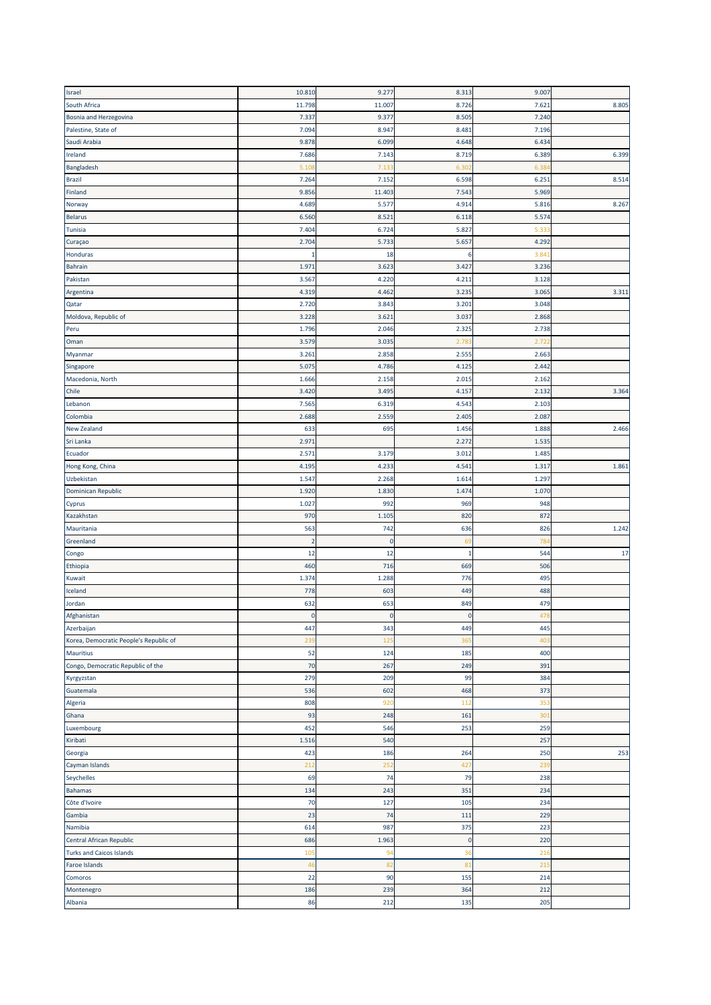| Israel                                 | 10.810         | 9.277     | 8.313       | 9.007 |       |
|----------------------------------------|----------------|-----------|-------------|-------|-------|
| South Africa                           | 11.798         | 11.007    | 8.726       | 7.621 | 8.805 |
| Bosnia and Herzegovina                 | 7.337          | 9.377     | 8.505       | 7.240 |       |
| Palestine, State of                    | 7.094          | 8.947     | 8.481       | 7.196 |       |
| Saudi Arabia                           | 9.878          | 6.099     | 4.648       | 6.434 |       |
| Ireland                                | 7.686          | 7.143     | 8.719       | 6.389 | 6.399 |
|                                        |                | 7.13      |             |       |       |
| Bangladesh                             | 5.101          |           | 6.30        | 6.38  |       |
| <b>Brazil</b>                          | 7.264          | 7.152     | 6.598       | 6.251 | 8.514 |
| Finland                                | 9.856          | 11.403    | 7.543       | 5.969 |       |
| Norway                                 | 4.689          | 5.577     | 4.914       | 5.816 | 8.267 |
| <b>Belarus</b>                         | 6.560          | 8.521     | 6.118       | 5.574 |       |
| Tunisia                                | 7.404          | 6.724     | 5.827       | 5.33  |       |
| Curaçao                                | 2.704          | 5.733     | 5.657       | 4.292 |       |
| Honduras                               | 1              | 18        | 6           | 3.84  |       |
| <b>Bahrain</b>                         | 1.971          | 3.623     | 3.427       | 3.236 |       |
| Pakistan                               | 3.567          | 4.220     | 4.21        | 3.128 |       |
| Argentina                              | 4.319          | 4.462     | 3.235       | 3.065 | 3.311 |
| Qatar                                  | 2.720          | 3.843     | 3.201       | 3.048 |       |
| Moldova, Republic of                   | 3.228          | 3.621     | 3.037       | 2.868 |       |
| Peru                                   | 1.796          | 2.046     | 2.325       | 2.738 |       |
| Oman                                   | 3.579          | 3.035     | 2.78        | 2.72  |       |
| Myanmar                                | 3.261          | 2.858     | 2.555       | 2.663 |       |
|                                        |                |           |             |       |       |
| Singapore                              | 5.075          | 4.786     | 4.125       | 2.442 |       |
| Macedonia, North                       | 1.666          | 2.158     | 2.015       | 2.162 |       |
| Chile                                  | 3.420          | 3.495     | 4.157       | 2.132 | 3.364 |
| Lebanon                                | 7.565          | 6.319     | 4.543       | 2.103 |       |
| Colombia                               | 2.688          | 2.559     | 2.405       | 2.087 |       |
| <b>New Zealand</b>                     | 633            | 695       | 1.456       | 1.888 | 2.466 |
| Sri Lanka                              | 2.971          |           | 2.272       | 1.535 |       |
| Ecuador                                | 2.571          | 3.179     | 3.012       | 1.485 |       |
| Hong Kong, China                       | 4.195          | 4.233     | 4.541       | 1.317 | 1.861 |
| Uzbekistan                             | 1.547          | 2.268     | 1.614       | 1.297 |       |
| <b>Dominican Republic</b>              | 1.920          | 1.830     | 1.474       | 1.070 |       |
| Cyprus                                 | 1.027          | 992       | 969         | 948   |       |
| Kazakhstan                             | 970            | 1.105     | 820         | 872   |       |
| Mauritania                             | 563            | 742       | 636         | 826   | 1.242 |
| Greenland                              | $\overline{2}$ | $\pmb{0}$ | 69          | 78    |       |
| Congo                                  | 12             | 12        | 1           | 544   | 17    |
|                                        | 460            | 716       | 669         | 506   |       |
| Ethiopia                               |                |           |             |       |       |
| Kuwait                                 | 1.374          | 1.288     | 776         | 495   |       |
| Iceland                                | 778            | 603       | 449         | 488   |       |
| Jordan                                 | 632            | 653       | 849         | 479   |       |
| Afghanistan                            | $\mathbf 0$    | $\pmb{0}$ | $\mathbf 0$ | 478   |       |
| Azerbaijan                             | 447            | 343       | 449         | 445   |       |
| Korea, Democratic People's Republic of | 239            | 125       | 365         | 403   |       |
| <b>Mauritius</b>                       | 52             | 124       | 185         | 400   |       |
| Congo, Democratic Republic of the      | 70             | 267       | 249         | 391   |       |
| Kyrgyzstan                             | 279            | 209       | 99          | 384   |       |
| Guatemala                              | 536            | 602       | 468         | 373   |       |
| Algeria                                | 808            | 920       | 112         | 353   |       |
| Ghana                                  | 93             | 248       | 161         | 301   |       |
| Luxembourg                             | 452            | 546       | 253         | 259   |       |
| Kiribati                               | 1.516          | 540       |             | 257   |       |
| Georgia                                | 423            | 186       | 264         | 250   | 253   |
| Cayman Islands                         | 212            | 252       | 427         | 239   |       |
|                                        |                |           |             |       |       |
| Seychelles                             | 69             | 74        | 79          | 238   |       |
| <b>Bahamas</b>                         | 134            | 243       | 351         | 234   |       |
| Côte d'Ivoire                          | 70             | 127       | 105         | 234   |       |
| Gambia                                 | 23             | 74        | 111         | 229   |       |
| Namibia                                | 614            | 987       | 375         | 223   |       |
| Central African Republic               | 686            | 1.963     | $\mathbf 0$ | 220   |       |
| <b>Turks and Caicos Islands</b>        | 105            | 94        | 36          | 216   |       |
| Faroe Islands                          | 46             | 82        | 81          | 21!   |       |
| Comoros                                | 22             | 90        | 155         | 214   |       |
| Montenegro                             | 186            | 239       | 364         | 212   |       |
| Albania                                | 86             | 212       | 135         | 205   |       |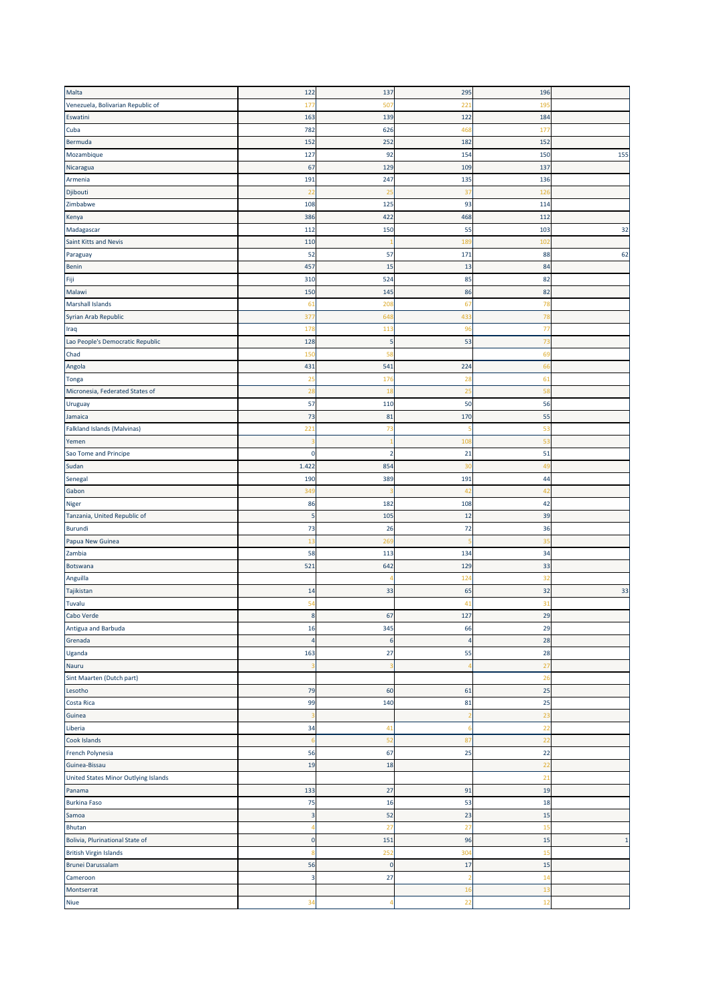| Malta                                | 122                      | 137            | 295                     | 196             |              |
|--------------------------------------|--------------------------|----------------|-------------------------|-----------------|--------------|
| Venezuela, Bolivarian Republic of    | 177                      | 50             | 221                     | 19              |              |
| Eswatini                             |                          |                |                         |                 |              |
|                                      | 163                      | 139            | 122                     | 184             |              |
| Cuba                                 | 782                      | 626            | 468                     | 17 <sub>1</sub> |              |
| Bermuda                              | 152                      | 252            | 182                     | 152             |              |
| Mozambique                           | 127                      | 92             | 154                     | 150             | 155          |
| Nicaragua                            | 67                       | 129            | 109                     | 137             |              |
| Armenia                              | 191                      | 247            | 135                     | 136             |              |
| Djibouti                             | 22                       | 25             | 37                      | 126             |              |
| Zimbabwe                             | 108                      | 125            | 93                      | 114             |              |
|                                      |                          |                |                         |                 |              |
| Kenya                                | 386                      | 422            | 468                     | 112             |              |
| Madagascar                           | 112                      | 150            | 55                      | 103             | 32           |
| Saint Kitts and Nevis                | 110                      |                | 189                     | 10 <sub>2</sub> |              |
| Paraguay                             | 52                       | 57             | 171                     | 88              | 62           |
| Benin                                | 457                      | 15             | 13                      | 84              |              |
| Fiji                                 | 310                      | 524            | 85                      | 82              |              |
| Malawi                               | 150                      | 145            | 86                      | 82              |              |
| <b>Marshall Islands</b>              | 61                       | 208            | 67                      | 78              |              |
|                                      |                          |                |                         |                 |              |
| Syrian Arab Republic                 | 377                      | 648            | 433                     | 78              |              |
| Iraq                                 | 178                      | 113            | 96                      | 77              |              |
| Lao People's Democratic Republic     | 128                      | 5              | 53                      | 73              |              |
| Chad                                 | 150                      | 58             |                         | 69              |              |
| Angola                               | 431                      | 541            | 224                     | 66              |              |
| <b>Tonga</b>                         | 25                       | 176            | 28                      | 61              |              |
| Micronesia, Federated States of      | 28                       | 18             | 25                      | 58              |              |
|                                      | 57                       | 110            | 50                      | 56              |              |
| Uruguay                              |                          |                |                         |                 |              |
| Jamaica                              | 73                       | 81             | 170                     | 55              |              |
| Falkland Islands (Malvinas)          | 221                      | 73             | 5                       | 53              |              |
| Yemen                                |                          |                | 108                     | 53              |              |
| Sao Tome and Principe                | $\mathbf 0$              | $\overline{2}$ | 21                      | 51              |              |
| Sudan                                | 1.422                    | 854            | 3 <sup>c</sup>          | 49              |              |
| Senegal                              | 190                      | 389            | 191                     | 44              |              |
| Gabon                                | 349                      |                | 42                      | 42              |              |
|                                      |                          |                |                         |                 |              |
|                                      |                          |                |                         |                 |              |
|                                      | 86                       | 182            | 108                     | 42              |              |
| Tanzania, United Republic of         | 5                        | 105            | 12                      | 39              |              |
| <b>Burundi</b>                       | 73                       | 26             | 72                      | 36              |              |
|                                      | 13                       | 269            |                         | 35              |              |
|                                      | 58                       | 113            | 134                     | 34              |              |
| Niger<br>Papua New Guinea<br>Zambia  |                          | 642            | 129                     |                 |              |
| Botswana                             | 521                      |                |                         | 33              |              |
| Anguilla                             |                          |                | 124                     | 32              |              |
|                                      | 14                       | 33             | 65                      | 32              | 33           |
|                                      | 54                       |                | 41                      | 31              |              |
| Cabo Verde                           | $\bf8$                   | 67             | 127                     | 29              |              |
| Antigua and Barbuda                  | 16                       | 345            | 66                      | 29              |              |
| Grenada                              | $\overline{4}$           | 6              | 4                       | 28              |              |
| Uganda                               | 163                      | 27             | 55                      | 28              |              |
| Nauru                                |                          |                |                         | 27              |              |
|                                      |                          |                |                         | 26              |              |
| Sint Maarten (Dutch part)            |                          |                |                         |                 |              |
| Lesotho                              | 79                       | 60             | 61                      | 25              |              |
| Tajikistan<br>Tuvalu<br>Costa Rica   | 99                       | 140            | 81                      | 25              |              |
| Guinea                               |                          |                | 2                       | 23              |              |
| Liberia                              | 34                       | 41             | Е                       | 22              |              |
| Cook Islands                         | -6                       | 52             | 87                      | 22              |              |
| French Polynesia                     | 56                       | 67             | 25                      | 22              |              |
| Guinea-Bissau                        | 19                       | 18             |                         | 2 <sub>2</sub>  |              |
|                                      |                          |                |                         |                 |              |
| United States Minor Outlying Islands |                          |                |                         | 21              |              |
|                                      | 133                      | 27             | 91                      | 19              |              |
| Panama<br><b>Burkina Faso</b>        | 75                       | 16             | 53                      | 18              |              |
| Samoa                                | $\overline{3}$           | 52             | 23                      | 15              |              |
| Bhutan                               | $\overline{\mathcal{L}}$ | 27             | 27                      | 15              |              |
| Bolivia, Plurinational State of      | $\mathbf 0$              | 151            | 96                      | 15              | $\mathbf{1}$ |
| <b>British Virgin Islands</b>        | s                        | 252            | 304                     | 15              |              |
| <b>Brunei Darussalam</b>             | 56                       | $\pmb{0}$      | 17                      | 15              |              |
|                                      | $\overline{\mathbf{3}}$  |                | $\overline{\mathbf{2}}$ |                 |              |
| Cameroon                             |                          | 27             |                         | 1 <sup>2</sup>  |              |
| Montserrat<br>Niue                   | 34                       |                | 16<br>22                | 13<br>12        |              |